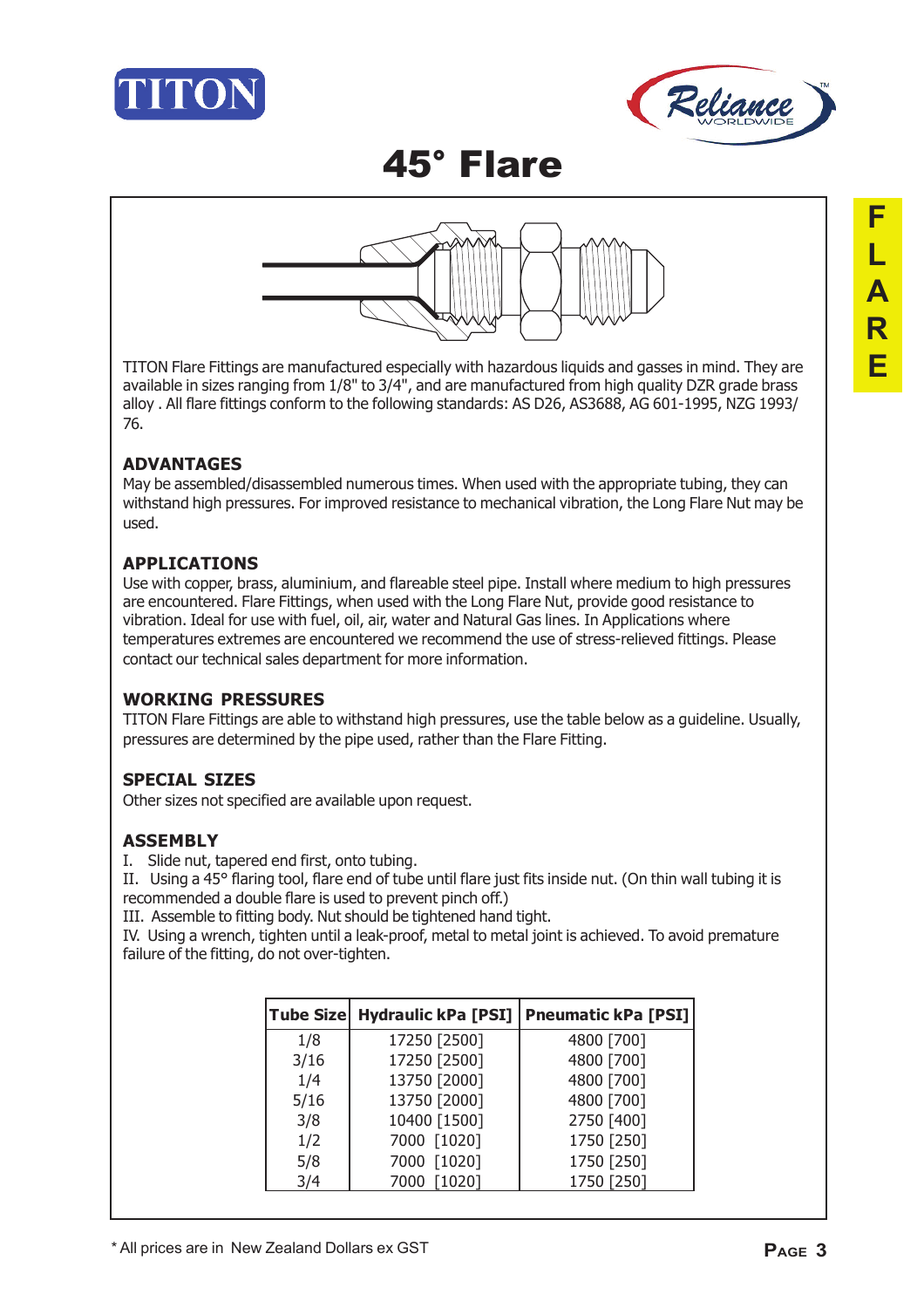





TITON Flare Fittings are manufactured especially with hazardous liquids and gasses in mind. They are available in sizes ranging from 1/8" to 3/4", and are manufactured from high quality DZR grade brass alloy . All flare fittings conform to the following standards: AS D26, AS3688, AG 601-1995, NZG 1993/ 76.

### **ADVANTAGES**

May be assembled/disassembled numerous times. When used with the appropriate tubing, they can withstand high pressures. For improved resistance to mechanical vibration, the Long Flare Nut may be used.

### **APPLICATIONS**

Use with copper, brass, aluminium, and flareable steel pipe. Install where medium to high pressures are encountered. Flare Fittings, when used with the Long Flare Nut, provide good resistance to vibration. Ideal for use with fuel, oil, air, water and Natural Gas lines. In Applications where temperatures extremes are encountered we recommend the use of stress-relieved fittings. Please contact our technical sales department for more information.

### **WORKING PRESSURES**

TITON Flare Fittings are able to withstand high pressures, use the table below as a guideline. Usually, pressures are determined by the pipe used, rather than the Flare Fitting.

### **SPECIAL SIZES**

Other sizes not specified are available upon request.

### **ASSEMBLY**

I. Slide nut, tapered end first, onto tubing.

II. Using a 45° flaring tool, flare end of tube until flare just fits inside nut. (On thin wall tubing it is recommended a double flare is used to prevent pinch off.)

III. Assemble to fitting body. Nut should be tightened hand tight.

IV. Using a wrench, tighten until a leak-proof, metal to metal joint is achieved. To avoid premature failure of the fitting, do not over-tighten.

| <b>Tube Size</b> |              | Hydraulic kPa [PSI]   Pneumatic kPa [PSI] |
|------------------|--------------|-------------------------------------------|
| 1/8              | 17250 [2500] | 4800 [700]                                |
| 3/16             | 17250 [2500] | 4800 [700]                                |
| 1/4              | 13750 [2000] | 4800 [700]                                |
| 5/16             | 13750 [2000] | 4800 [700]                                |
| 3/8              | 10400 [1500] | 2750 [400]                                |
| 1/2              | 7000 [1020]  | 1750 [250]                                |
| 5/8              | 7000 [1020]  | 1750 [250]                                |
| 3/4              | 7000 [1020]  | 1750 [250]                                |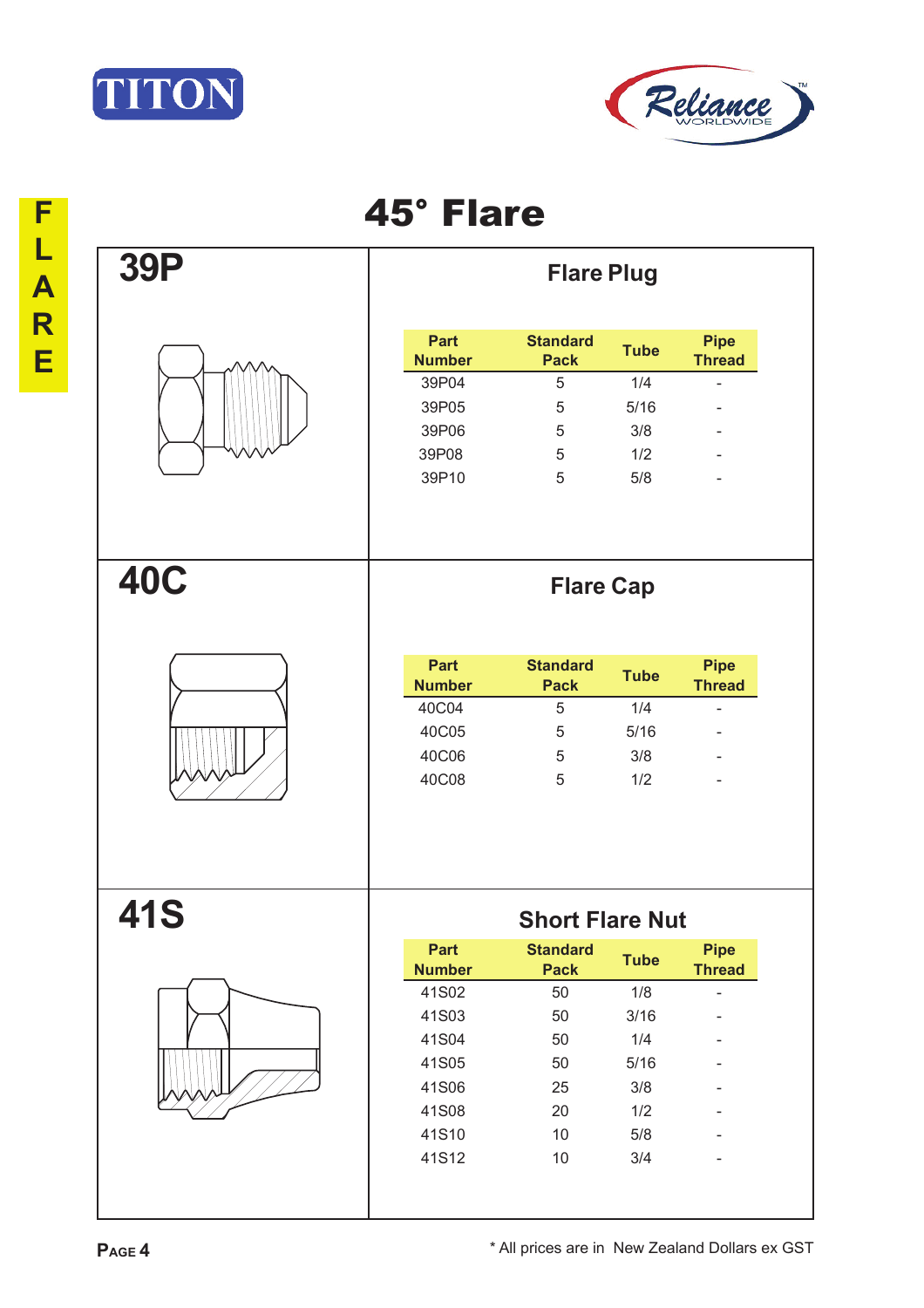



| <b>39P</b> |                       | <b>Flare Plug</b>              |             |                              |
|------------|-----------------------|--------------------------------|-------------|------------------------------|
|            | Part<br><b>Number</b> | <b>Standard</b><br><b>Pack</b> | <b>Tube</b> | <b>Pipe</b><br><b>Thread</b> |
|            | 39P04                 | 5                              | 1/4         | ä,                           |
|            | 39P05                 | 5                              | 5/16        |                              |
|            | 39P06                 | 5                              | 3/8         |                              |
|            | 39P08                 | 5                              | 1/2         |                              |
|            | 39P10                 | 5                              | 5/8         |                              |
| <b>40C</b> |                       | <b>Flare Cap</b>               |             |                              |
|            | Part<br><b>Number</b> | <b>Standard</b><br><b>Pack</b> | <b>Tube</b> | <b>Pipe</b><br><b>Thread</b> |
|            | 40C04                 | 5                              | 1/4         | $\blacksquare$               |
|            | 40C05                 | 5                              | 5/16        |                              |
|            | 40C06                 | 5                              | 3/8         |                              |
|            |                       |                                |             |                              |
|            | 40C08                 | 5                              | 1/2         |                              |
| <b>41S</b> |                       | <b>Short Flare Nut</b>         |             |                              |
|            | Part<br><b>Number</b> | <b>Standard</b><br><b>Pack</b> | <b>Tube</b> | <b>Pipe</b><br><b>Thread</b> |
|            | 41S02                 | 50                             | 1/8         | $\overline{a}$               |
|            | 41S03                 | 50                             | 3/16        |                              |
|            | 41S04                 | 50                             | 1/4         |                              |
|            | 41S05                 | 50                             | 5/16        |                              |
|            | 41S06                 | 25                             | 3/8         |                              |
|            | 41S08                 | 20                             | 1/2         |                              |
|            | 41S10                 | 10                             | 5/8         |                              |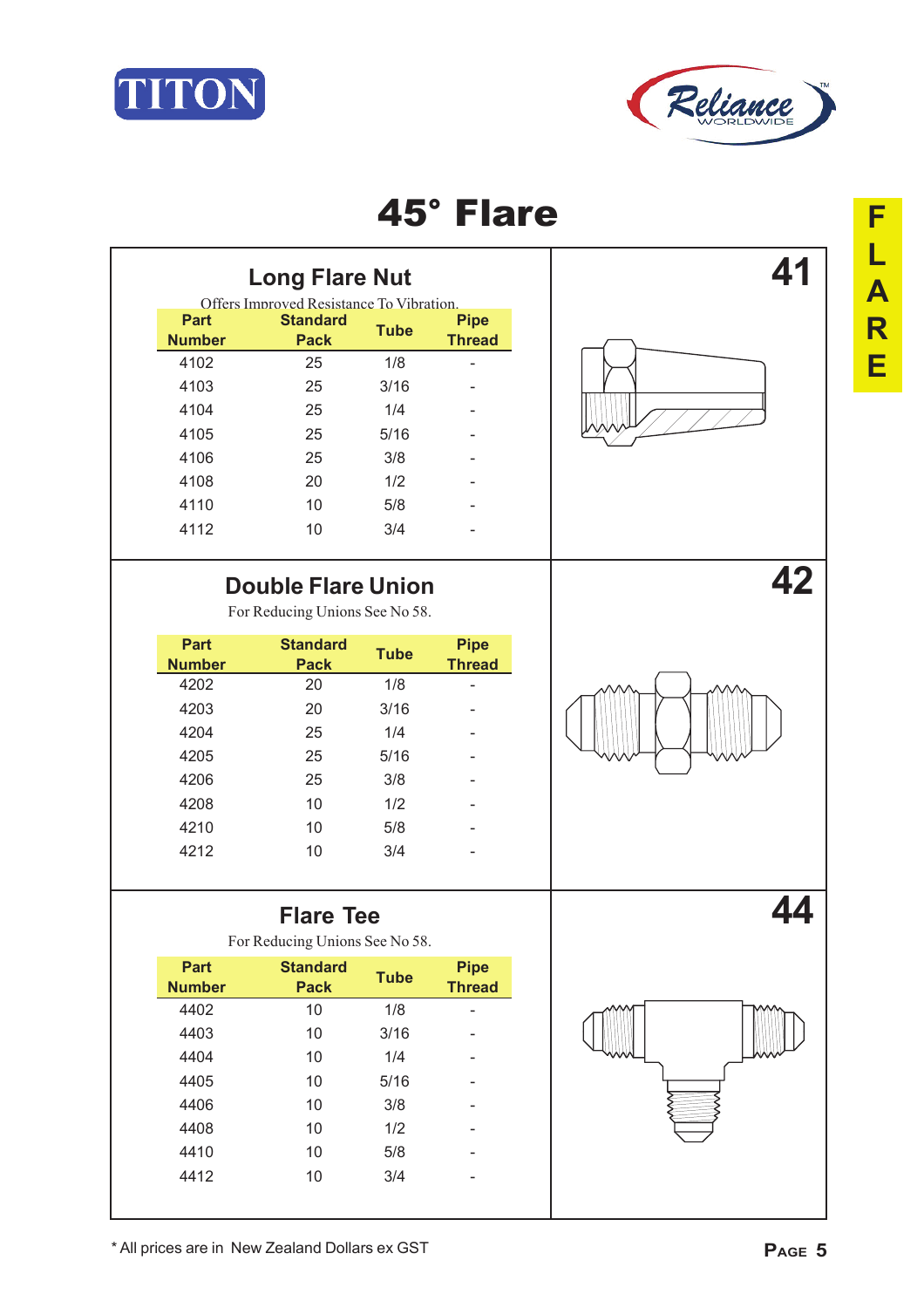



| <b>Long Flare Nut</b>        |             |                                          |                              |  |
|------------------------------|-------------|------------------------------------------|------------------------------|--|
|                              |             | Offers Improved Resistance To Vibration. |                              |  |
| <b>Pipe</b><br><b>Thread</b> | <b>Tube</b> | <b>Standard</b><br><b>Pack</b>           | <b>Part</b><br><b>Number</b> |  |
|                              | 1/8         | 25                                       | 4102                         |  |
|                              | 3/16        | 25                                       | 4103                         |  |
|                              | 1/4         | 25                                       | 4104                         |  |
|                              | 5/16        | 25                                       | 4105                         |  |
|                              | 3/8         | 25                                       | 4106                         |  |
|                              | 1/2         | 20                                       | 4108                         |  |
|                              | 5/8         | 10                                       | 4110                         |  |
|                              | 3/4         | 10                                       | 4112                         |  |
|                              |             |                                          |                              |  |

## **Double Flare Union 42**

For Reducing Unions See No 58.

| <b>Part</b><br><b>Number</b> | <b>Standard</b><br><b>Pack</b> | <b>Tube</b> | <b>Pipe</b><br><b>Thread</b> |
|------------------------------|--------------------------------|-------------|------------------------------|
| 4202                         | 20                             | 1/8         |                              |
| 4203                         | 20                             | 3/16        |                              |
| 4204                         | 25                             | 1/4         |                              |
| 4205                         | 25                             | 5/16        |                              |
| 4206                         | 25                             | 3/8         |                              |
| 4208                         | 10                             | 1/2         |                              |
| 4210                         | 10                             | 5/8         |                              |
| 4212                         | 10                             | 3/4         |                              |

### **Flare Tee 44** For Reducing Unions See No 58. **Part Number Standard Pack Tube Pipe Thread** 4402 10 1/8 - 4403 10 3/16 - 4404 10 1/4 - 4405 10 5/16 - 4406 10 3/8 - 4408 10 1/2 - 4410 10 5/8 - 4412 10 3/4 -



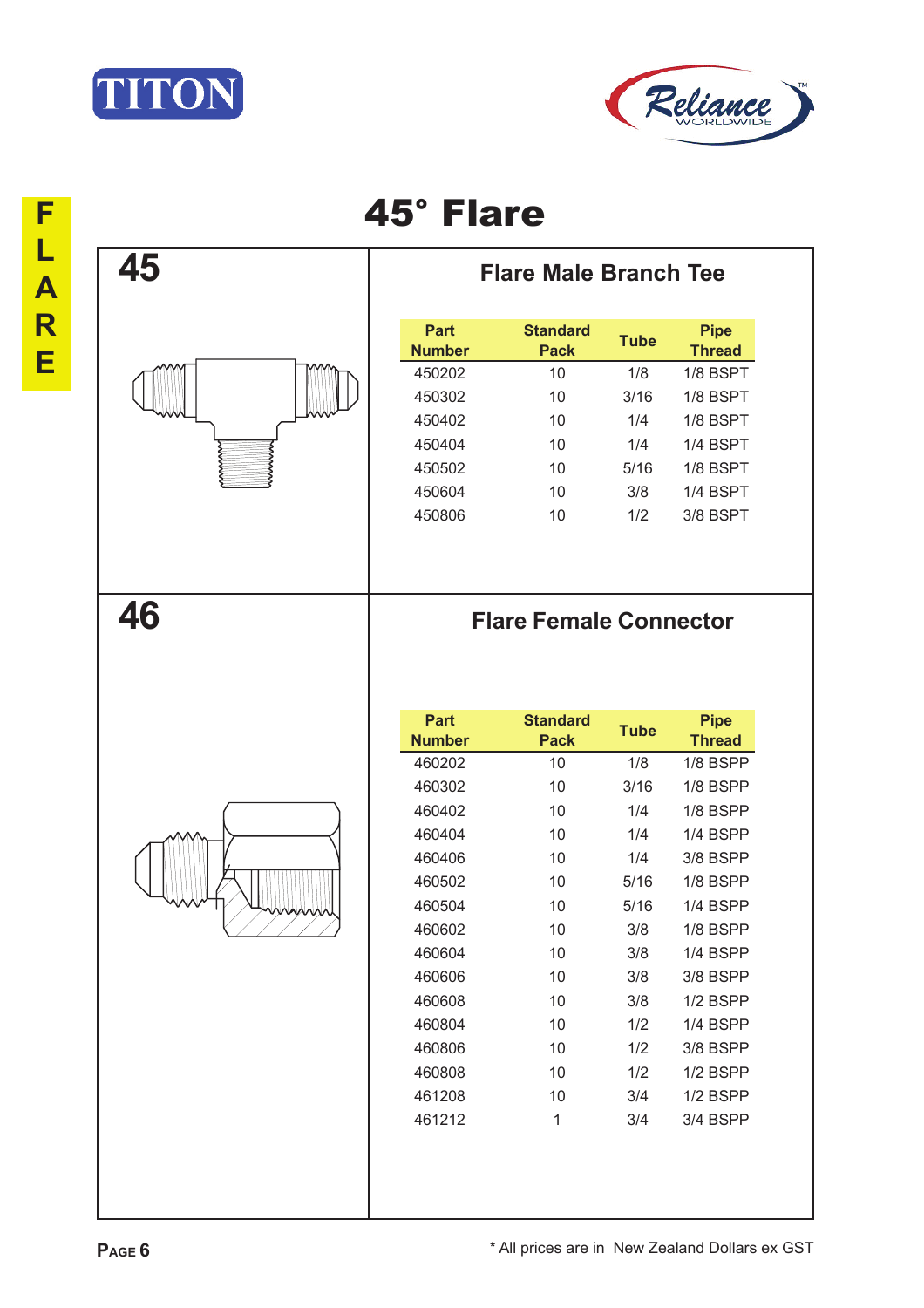





**45 Flare Male Branch Tee**

| Part<br><b>Number</b> | <b>Standard</b><br><b>Pack</b> | <b>Tube</b> | <b>Pipe</b><br><b>Thread</b> |
|-----------------------|--------------------------------|-------------|------------------------------|
| 450202                | 10                             | 1/8         | $1/8$ BSPT                   |
| 450302                | 10                             | 3/16        | 1/8 BSPT                     |
| 450402                | 10                             | 1/4         | 1/8 BSPT                     |
| 450404                | 10                             | 1/4         | 1/4 BSPT                     |
| 450502                | 10                             | 5/16        | 1/8 BSPT                     |
| 450604                | 10                             | 3/8         | 1/4 BSPT                     |
| 450806                | 10                             | 1/2         | 3/8 BSPT                     |
|                       |                                |             |                              |

## **46 Flare Female Connector**

| <b>Part</b><br><b>Number</b> | <b>Standard</b><br><b>Pack</b> | <b>Tube</b> | <b>Pipe</b><br><b>Thread</b> |
|------------------------------|--------------------------------|-------------|------------------------------|
| 460202                       | 10                             | 1/8         | $1/8$ BSPP                   |
| 460302                       | 10                             | 3/16        | $1/8$ BSPP                   |
| 460402                       | 10                             | 1/4         | $1/8$ BSPP                   |
| 460404                       | 10                             | 1/4         | 1/4 BSPP                     |
| 460406                       | 10                             | 1/4         | 3/8 BSPP                     |
| 460502                       | 10                             | 5/16        | $1/8$ BSPP                   |
| 460504                       | 10                             | 5/16        | 1/4 BSPP                     |
| 460602                       | 10                             | 3/8         | $1/8$ BSPP                   |
| 460604                       | 10                             | 3/8         | $1/4$ BSPP                   |
| 460606                       | 10                             | 3/8         | 3/8 BSPP                     |
| 460608                       | 10                             | 3/8         | $1/2$ BSPP                   |
| 460804                       | 10                             | 1/2         | 1/4 BSPP                     |
| 460806                       | 10                             | 1/2         | 3/8 BSPP                     |
| 460808                       | 10                             | 1/2         | $1/2$ BSPP                   |
| 461208                       | 10                             | 3/4         | $1/2$ BSPP                   |
| 461212                       | 1                              | 3/4         | 3/4 BSPP                     |
|                              |                                |             |                              |

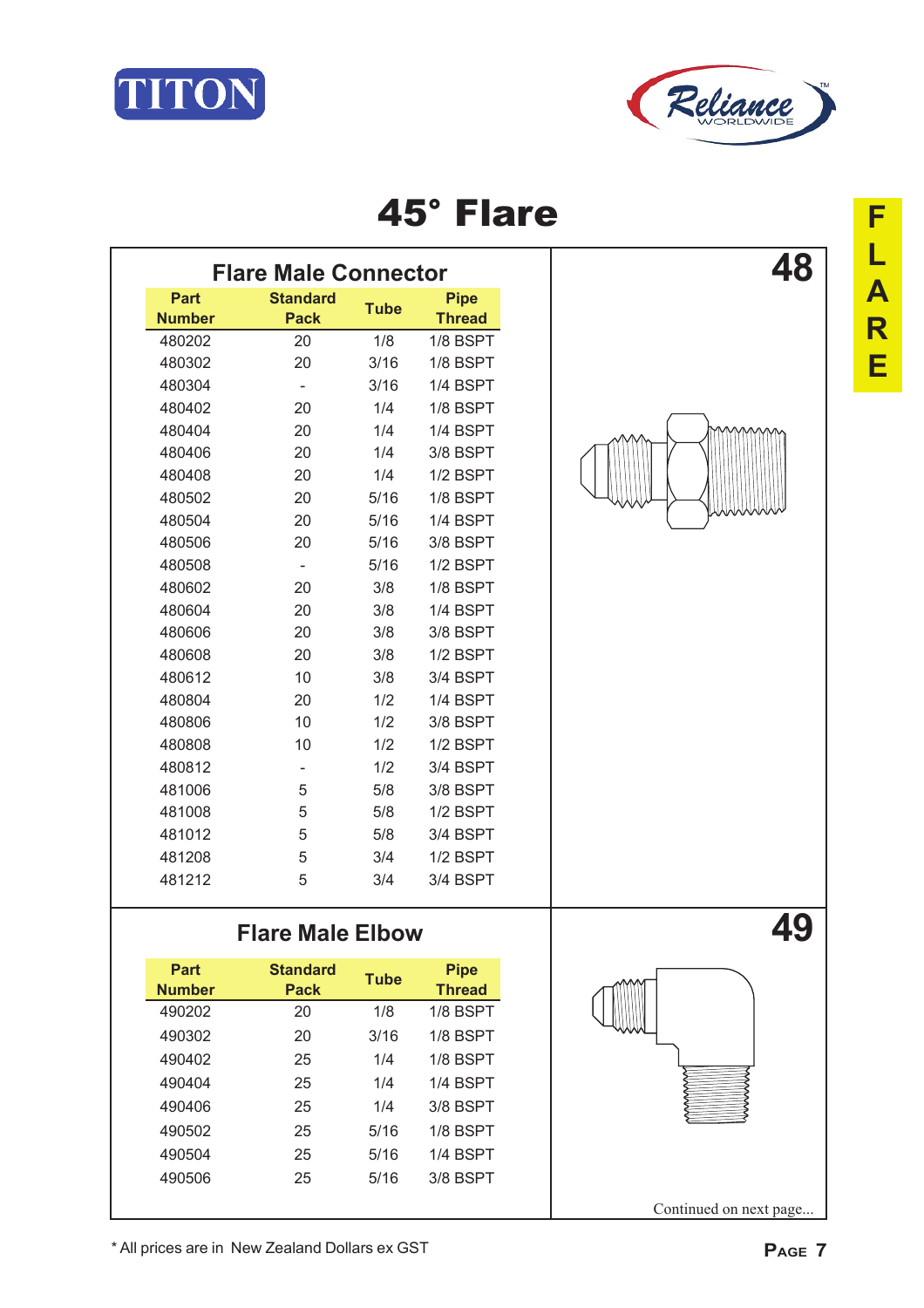



|               | <b>Flare Male Connector</b> |             |               |
|---------------|-----------------------------|-------------|---------------|
| <b>Part</b>   | <b>Standard</b>             | <b>Tube</b> | <b>Pipe</b>   |
| <b>Number</b> | <b>Pack</b>                 |             | <b>Thread</b> |
| 480202        | 20                          | 1/8         | 1/8 BSPT      |
| 480302        | 20                          | 3/16        | 1/8 BSPT      |
| 480304        | $\overline{\phantom{a}}$    | 3/16        | 1/4 BSPT      |
| 480402        | 20                          | 1/4         | 1/8 BSPT      |
| 480404        | 20                          | 1/4         | 1/4 BSPT      |
| 480406        | 20                          | 1/4         | 3/8 BSPT      |
| 480408        | 20                          | 1/4         | 1/2 BSPT      |
| 480502        | 20                          | 5/16        | 1/8 BSPT      |
| 480504        | 20                          | 5/16        | 1/4 BSPT      |
| 480506        | 20                          | 5/16        | 3/8 BSPT      |
| 480508        | $\overline{\phantom{a}}$    | 5/16        | 1/2 BSPT      |
| 480602        | 20                          | 3/8         | 1/8 BSPT      |
| 480604        | 20                          | 3/8         | 1/4 BSPT      |
| 480606        | 20                          | 3/8         | 3/8 BSPT      |
| 480608        | 20                          | 3/8         | 1/2 BSPT      |
| 480612        | 10                          | 3/8         | 3/4 BSPT      |
| 480804        | 20                          | 1/2         | 1/4 BSPT      |
| 480806        | 10                          | 1/2         | 3/8 BSPT      |
| 480808        | 10                          | 1/2         | $1/2$ BSPT    |
| 480812        | ۰                           | 1/2         | 3/4 BSPT      |
| 481006        | 5                           | 5/8         | 3/8 BSPT      |
| 481008        | 5                           | 5/8         | 1/2 BSPT      |
| 481012        | 5                           | 5/8         | 3/4 BSPT      |
| 481208        | 5                           | 3/4         | 1/2 BSPT      |
| 481212        | 5                           | 3/4         | 3/4 BSPT      |
|               |                             |             |               |



### Flare Male Elbow **49**

| Part<br><b>Number</b> | <b>Standard</b><br><b>Pack</b> | <b>Tube</b> | <b>Pipe</b><br><b>Thread</b> |
|-----------------------|--------------------------------|-------------|------------------------------|
| 490202                | 20                             | 1/8         | 1/8 BSPT                     |
| 490302                | 20                             | 3/16        | $1/8$ BSPT                   |
| 490402                | 25                             | 1/4         | 1/8 BSPT                     |
| 490404                | 25                             | 1/4         | 1/4 BSPT                     |
| 490406                | 25                             | 1/4         | 3/8 BSPT                     |
| 490502                | 25                             | 5/16        | 1/8 BSPT                     |
| 490504                | 25                             | 5/16        | 1/4 BSPT                     |
| 490506                | 25                             | 5/16        | 3/8 BSPT                     |
|                       |                                |             |                              |



Continued on next page...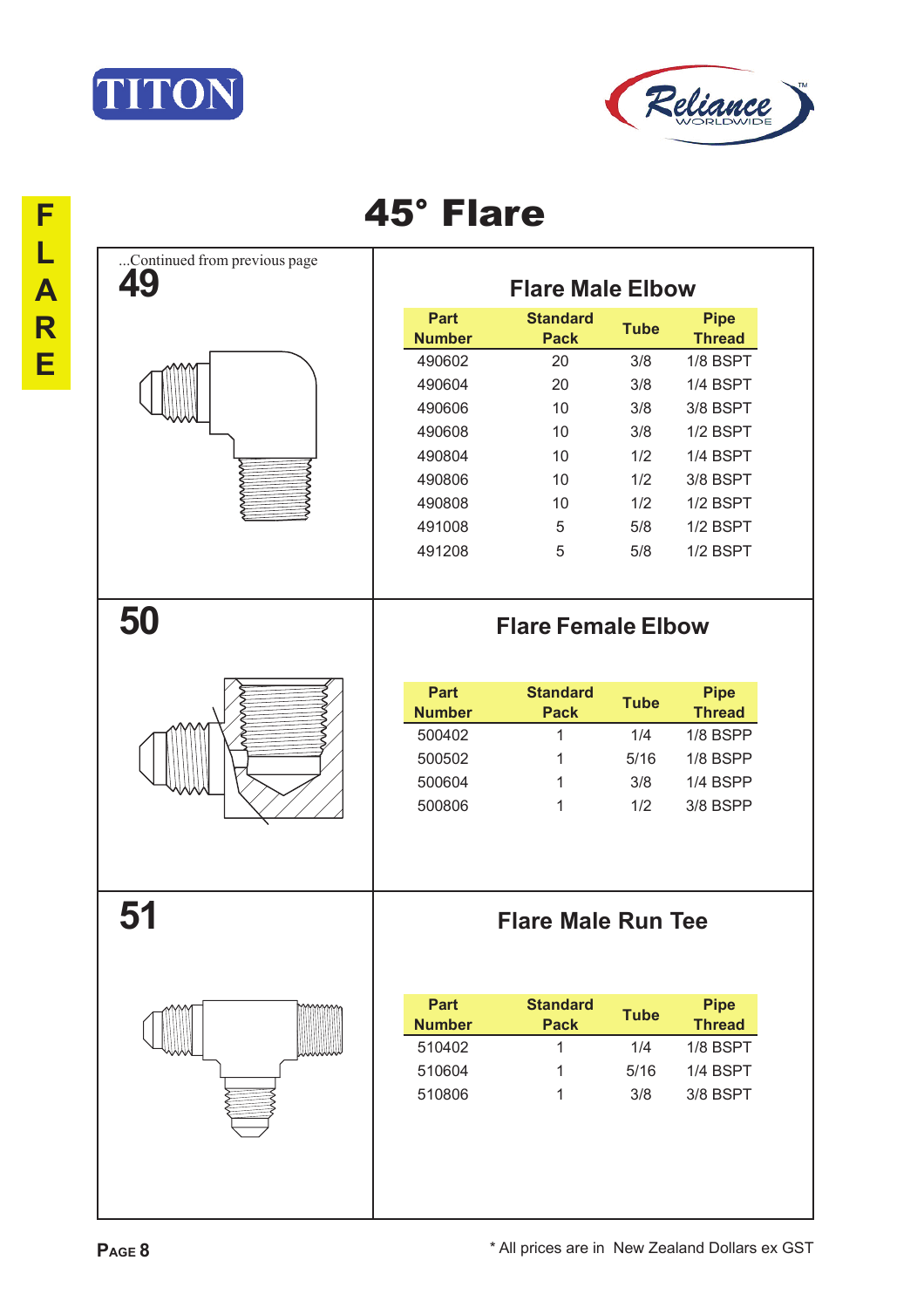



|                                    | 45° Flare                    |                                |             |                              |
|------------------------------------|------------------------------|--------------------------------|-------------|------------------------------|
| Continued from previous page<br>49 |                              | <b>Flare Male Elbow</b>        |             |                              |
|                                    | <b>Part</b><br><b>Number</b> | <b>Standard</b><br><b>Pack</b> | <b>Tube</b> | <b>Pipe</b><br><b>Thread</b> |
|                                    | 490602                       | 20                             | 3/8         | 1/8 BSPT                     |
|                                    | 490604                       | 20                             | 3/8         | 1/4 BSPT                     |
|                                    | 490606                       | 10                             | 3/8         | 3/8 BSPT                     |
|                                    | 490608                       | 10                             | 3/8         | 1/2 BSPT                     |
|                                    | 490804                       | 10                             | 1/2         | 1/4 BSPT                     |
|                                    | 490806                       | 10                             | 1/2         | 3/8 BSPT                     |
|                                    | 490808                       | 10                             | 1/2         | 1/2 BSPT                     |
|                                    | 491008                       | 5                              | 5/8         | 1/2 BSPT                     |
|                                    | 491208                       | 5                              | 5/8         | 1/2 BSPT                     |
|                                    |                              |                                |             |                              |
| 50                                 |                              | <b>Flare Female Elbow</b>      |             |                              |
|                                    |                              |                                |             |                              |
|                                    | <b>Part</b><br><b>Number</b> | <b>Standard</b><br><b>Pack</b> | <b>Tube</b> | <b>Pipe</b><br><b>Thread</b> |
|                                    | 500402                       | 1                              | 1/4         | 1/8 BSPP                     |
|                                    | 500502                       | 1                              | 5/16        | 1/8 BSPP                     |
|                                    | 500604                       | 1                              | 3/8         | 1/4 BSPP                     |
|                                    | 500806                       | 1                              | 1/2         | 3/8 BSPP                     |
|                                    |                              |                                |             |                              |
|                                    |                              |                                |             |                              |
| 51                                 |                              | <b>Flare Male Run Tee</b>      |             |                              |
|                                    |                              |                                |             |                              |
|                                    | <b>Part</b>                  | <b>Standard</b>                | <b>Tube</b> | <b>Pipe</b>                  |
|                                    | <b>Number</b>                | <b>Pack</b>                    |             | <b>Thread</b>                |
|                                    | 510402                       | $\mathbf{1}$                   | 1/4         | 1/8 BSPT                     |
|                                    | 510604                       | 1                              | 5/16        | 1/4 BSPT                     |
|                                    | 510806                       | 1                              | 3/8         | 3/8 BSPT                     |
|                                    |                              |                                |             |                              |
|                                    |                              |                                |             |                              |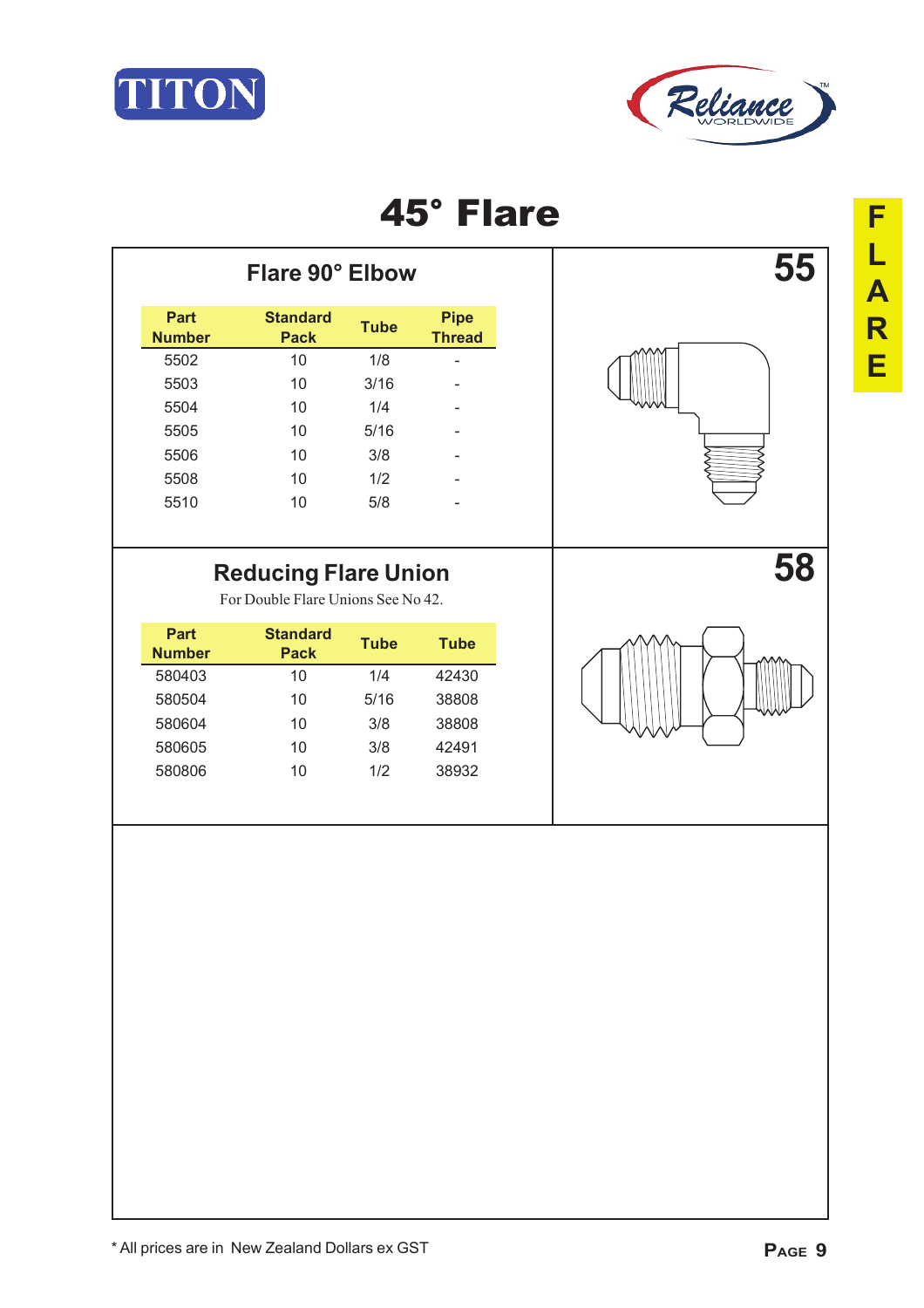



|  |  | ÷ |
|--|--|---|
|  |  | 5 |
|  |  |   |
|  |  |   |

|                       | Flare 90° Elbow                |             |                              |  |
|-----------------------|--------------------------------|-------------|------------------------------|--|
| Part<br><b>Number</b> | <b>Standard</b><br><b>Pack</b> | <b>Tube</b> | <b>Pipe</b><br><b>Thread</b> |  |
| 5502                  | 10                             | 1/8         | ۰                            |  |
| 5503                  | 10                             | 3/16        |                              |  |
| 5504                  | 10                             | 1/4         | -                            |  |
| 5505                  | 10                             | 5/16        |                              |  |
| 5506                  | 10                             | 3/8         |                              |  |
| 5508                  | 10                             | 1/2         |                              |  |
| 5510                  | 10                             | 5/8         | ۰                            |  |
|                       |                                |             |                              |  |

## Reducing Flare Union **58**

For Double Flare Unions See No 42.

| Part<br><b>Number</b> | <b>Standard</b><br>Pack | Tube | Tube  |
|-----------------------|-------------------------|------|-------|
| 580403                | 10                      | 1/4  | 42430 |
| 580504                | 10                      | 5/16 | 38808 |
| 580604                | 10                      | 3/8  | 38808 |
| 580605                | 10                      | 3/8  | 42491 |
| 580806                | 10                      | 1/2  | 38932 |

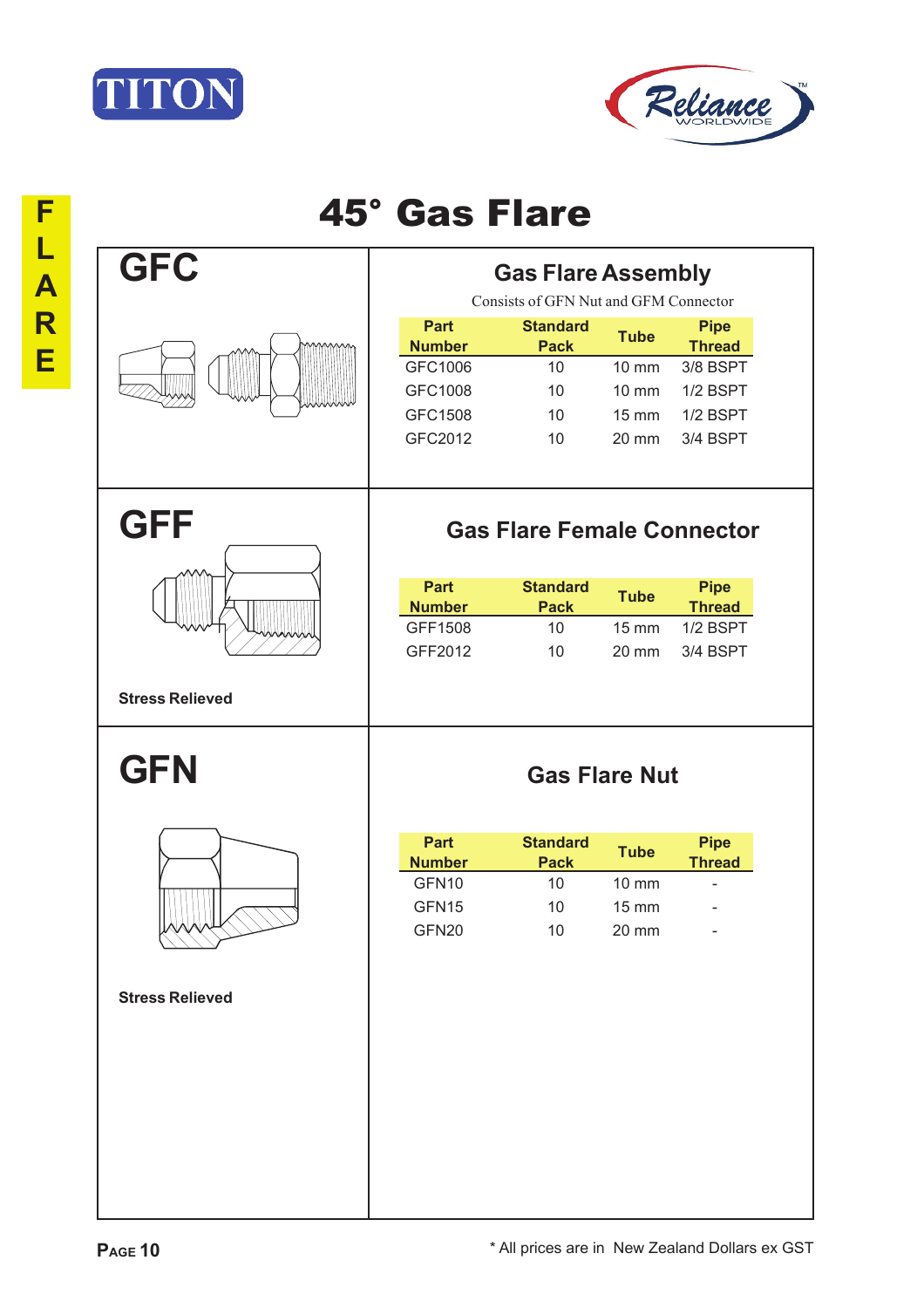



| F                            | <b>45° Gas Flare</b>   |                                                                          |                                                        |                                                                  |                                                                              |  |  |
|------------------------------|------------------------|--------------------------------------------------------------------------|--------------------------------------------------------|------------------------------------------------------------------|------------------------------------------------------------------------------|--|--|
| L<br>$\blacktriangle$        | <b>GFC</b>             | <b>Gas Flare Assembly</b><br>Consists of GFN Nut and GFM Connector       |                                                        |                                                                  |                                                                              |  |  |
| $\overline{\mathsf{R}}$<br>E |                        | <b>Part</b><br><b>Number</b><br>GFC1006<br>GFC1008<br>GFC1508<br>GFC2012 | <b>Standard</b><br><b>Pack</b><br>10<br>10<br>10<br>10 | <b>Tube</b><br>10 mm<br><b>10 mm</b><br>$15 \text{ mm}$<br>20 mm | <b>Pipe</b><br><b>Thread</b><br>3/8 BSPT<br>1/2 BSPT<br>1/2 BSPT<br>3/4 BSPT |  |  |
|                              | <b>GFF</b>             | <b>Gas Flare Female Connector</b>                                        |                                                        |                                                                  |                                                                              |  |  |
|                              |                        | <b>Part</b><br><b>Number</b><br>GFF1508<br>GFF2012                       | <b>Standard</b><br><b>Pack</b><br>10<br>10             | <b>Tube</b><br><b>15 mm</b><br>20 mm                             | <b>Pipe</b><br><b>Thread</b><br>1/2 BSPT<br>3/4 BSPT                         |  |  |
|                              | <b>Stress Relieved</b> |                                                                          |                                                        |                                                                  |                                                                              |  |  |
|                              | <b>GFN</b>             | <b>Gas Flare Nut</b>                                                     |                                                        |                                                                  |                                                                              |  |  |
|                              |                        | <b>Part</b><br><b>Number</b><br>GFN <sub>10</sub><br>GFN15<br>GFN20      | <b>Standard</b><br><b>Pack</b><br>10<br>10<br>10       | <b>Tube</b><br>10 mm<br>$15 \text{ mm}$<br>20 mm                 | <b>Pipe</b><br><b>Thread</b><br>۰                                            |  |  |
|                              | <b>Stress Relieved</b> |                                                                          |                                                        |                                                                  |                                                                              |  |  |
|                              |                        |                                                                          |                                                        |                                                                  |                                                                              |  |  |
|                              |                        |                                                                          |                                                        |                                                                  |                                                                              |  |  |